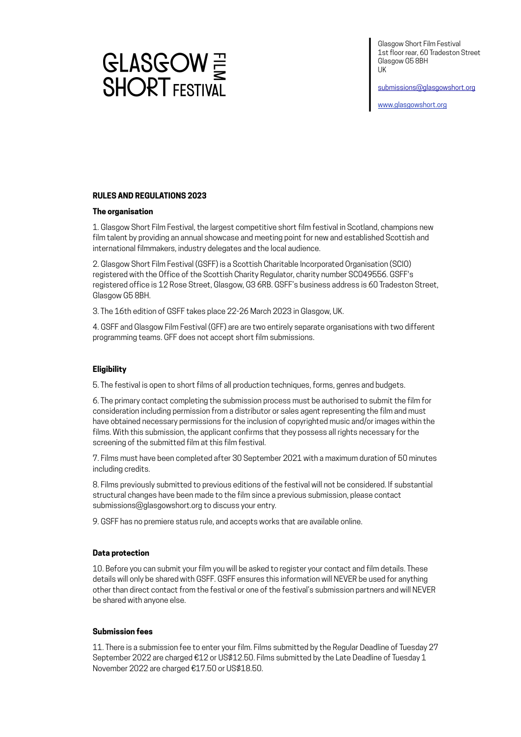

[submissions@glasgowshort.org](mailto:submissions@glasgowshort.org) 

[www.glasgowshort.org](http://www.glasgowshort.org)



# **RULES AND REGULATIONS 2023**

# **The organisation**

1. Glasgow Short Film Festival, the largest competitive short film festival in Scotland, champions new film talent by providing an annual showcase and meeting point for new and established Scottish and international filmmakers, industry delegates and the local audience.

2. Glasgow Short Film Festival (GSFF) is a Scottish Charitable Incorporated Organisation (SCIO) registered with the Office of the Scottish Charity Regulator, charity number SC049556. GSFF's registered office is 12 Rose Street, Glasgow, G3 6RB. GSFF's business address is 60 Tradeston Street, Glasgow G5 8BH.

3. The 16th edition of GSFF takes place 22-26 March 2023 in Glasgow, UK.

4. GSFF and Glasgow Film Festival (GFF) are are two entirely separate organisations with two different programming teams. GFF does not accept short film submissions.

# **Eligibility**

5. The festival is open to short films of all production techniques, forms, genres and budgets.

6. The primary contact completing the submission process must be authorised to submit the film for consideration including permission from a distributor or sales agent representing the film and must have obtained necessary permissions for the inclusion of copyrighted music and/or images within the films. With this submission, the applicant confirms that they possess all rights necessary for the screening of the submitted film at this film festival.

7. Films must have been completed after 30 September 2021 with a maximum duration of 50 minutes including credits.

8. Films previously submitted to previous editions of the festival will not be considered. If substantial structural changes have been made to the film since a previous submission, please contact submissions@glasgowshort.org to discuss your entry.

9. GSFF has no premiere status rule, and accepts works that are available online.

### **Data protection**

10. Before you can submit your film you will be asked to register your contact and film details. These details will only be shared with GSFF. GSFF ensures this information will NEVER be used for anything other than direct contact from the festival or one of the festival's submission partners and will NEVER be shared with anyone else.

### **Submission fees**

11. There is a submission fee to enter your film. Films submitted by the Regular Deadline of Tuesday 27 September 2022 are charged €12 or US\$12.50. Films submitted by the Late Deadline of Tuesday 1 November 2022 are charged €17.50 or US\$18.50.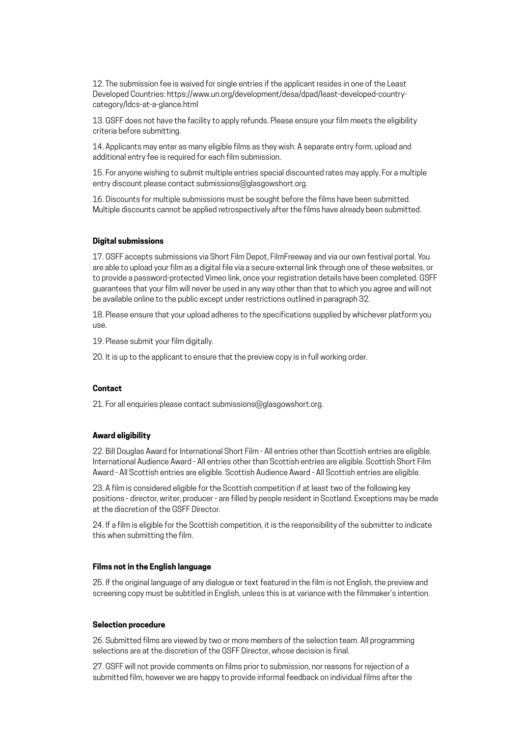12. The submission fee is waived for single entries if the applicant resides in one of the Least Developed Countries: https://www.un.org/development/desa/dpad/least-developed-countrycategory/ldcs-at-a-glance.html

13. GSFF does not have the facility to apply refunds. Please ensure your film meets the eligibility criteria before submitting.

14. Applicants may enter as many eligible films as they wish. A separate entry form, upload and additional entry fee is required for each film submission.

15. For anyone wishing to submit multiple entries special discounted rates may apply. For a multiple entry discount please contact submissions@glasgowshort.org.

16. Discounts for multiple submissions must be sought before the films have been submitted. Multiple discounts cannot be applied retrospectively after the films have already been submitted.

### **Digital submissions**

17. GSFF accepts submissions via Short Film Depot, FilmFreeway and via our own festival portal. You are able to upload your film as a digital file via a secure external link through one of these websites, or to provide a password-protected Vimeo link, once your registration details have been completed. GSFF guarantees that your film will never be used in any way other than that to which you agree and will not be available online to the public except under restrictions outlined in paragraph 32.

18. Please ensure that your upload adheres to the specifications supplied by whichever platform you use.

19. Please submit your film digitally.

20. It is up to the applicant to ensure that the preview copy is in full working order.

# **Contact**

21. For all enquiries please contact submissions@glasgowshort.org.

## **Award eligibility**

22. Bill Douglas Award for International Short Film - All entries other than Scottish entries are eligible. International Audience Award - All entries other than Scottish entries are eligible. Scottish Short Film Award - All Scottish entries are eligible. Scottish Audience Award - All Scottish entries are eligible.

23. A film is considered eligible for the Scottish competition if at least two of the following key positions - director, writer, producer - are filled by people resident in Scotland. Exceptions may be made at the discretion of the GSFF Director.

24. If a film is eligible for the Scottish competition, it is the responsibility of the submitter to indicate this when submitting the film.

#### **Films not in the English language**

25. If the original language of any dialogue or text featured in the film is not English, the preview and screening copy must be subtitled in English, unless this is at variance with the filmmaker's intention.

#### **Selection procedure**

26. Submitted films are viewed by two or more members of the selection team. All programming selections are at the discretion of the GSFF Director, whose decision is final.

27. GSFF will not provide comments on films prior to submission, nor reasons for rejection of a submitted film, however we are happy to provide informal feedback on individual films after the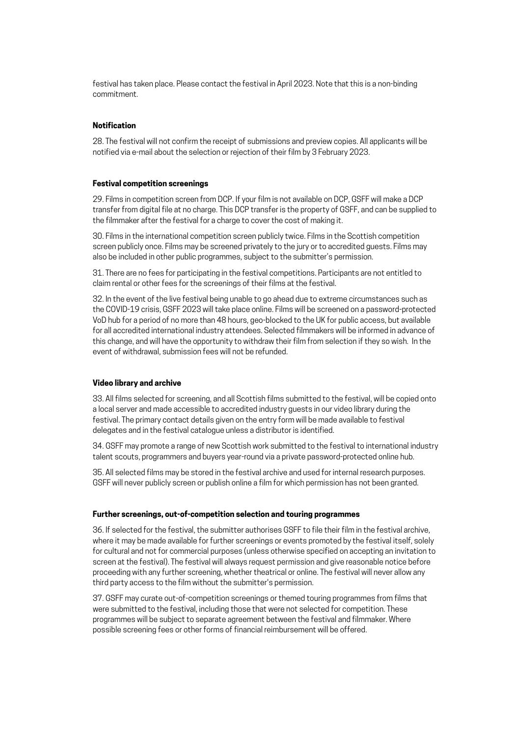festival has taken place. Please contact the festival in April 2023. Note that this is a non-binding commitment.

# **Notification**

28. The festival will not confirm the receipt of submissions and preview copies. All applicants will be notified via e-mail about the selection or rejection of their film by 3 February 2023.

#### **Festival competition screenings**

29. Films in competition screen from DCP. If your film is not available on DCP, GSFF will make a DCP transfer from digital file at no charge. This DCP transfer is the property of GSFF, and can be supplied to the filmmaker after the festival for a charge to cover the cost of making it.

30. Films in the international competition screen publicly twice. Films in the Scottish competition screen publicly once. Films may be screened privately to the jury or to accredited guests. Films may also be included in other public programmes, subject to the submitter's permission.

31. There are no fees for participating in the festival competitions. Participants are not entitled to claim rental or other fees for the screenings of their films at the festival.

32. In the event of the live festival being unable to go ahead due to extreme circumstances such as the COVID-19 crisis, GSFF 2023 will take place online. Films will be screened on a password-protected VoD hub for a period of no more than 48 hours, geo-blocked to the UK for public access, but available for all accredited international industry attendees. Selected filmmakers will be informed in advance of this change, and will have the opportunity to withdraw their film from selection if they so wish. In the event of withdrawal, submission fees will not be refunded.

#### **Video library and archive**

33. All films selected for screening, and all Scottish films submitted to the festival, will be copied onto a local server and made accessible to accredited industry guests in our video library during the festival. The primary contact details given on the entry form will be made available to festival delegates and in the festival catalogue unless a distributor is identified.

34. GSFF may promote a range of new Scottish work submitted to the festival to international industry talent scouts, programmers and buyers year-round via a private password-protected online hub.

35. All selected films may be stored in the festival archive and used for internal research purposes. GSFF will never publicly screen or publish online a film for which permission has not been granted.

# **Further screenings, out-of-competition selection and touring programmes**

36. If selected for the festival, the submitter authorises GSFF to file their film in the festival archive, where it may be made available for further screenings or events promoted by the festival itself, solely for cultural and not for commercial purposes (unless otherwise specified on accepting an invitation to screen at the festival). The festival will always request permission and give reasonable notice before proceeding with any further screening, whether theatrical or online. The festival will never allow any third party access to the film without the submitter's permission.

37. GSFF may curate out-of-competition screenings or themed touring programmes from films that were submitted to the festival, including those that were not selected for competition. These programmes will be subject to separate agreement between the festival and filmmaker. Where possible screening fees or other forms of financial reimbursement will be offered.